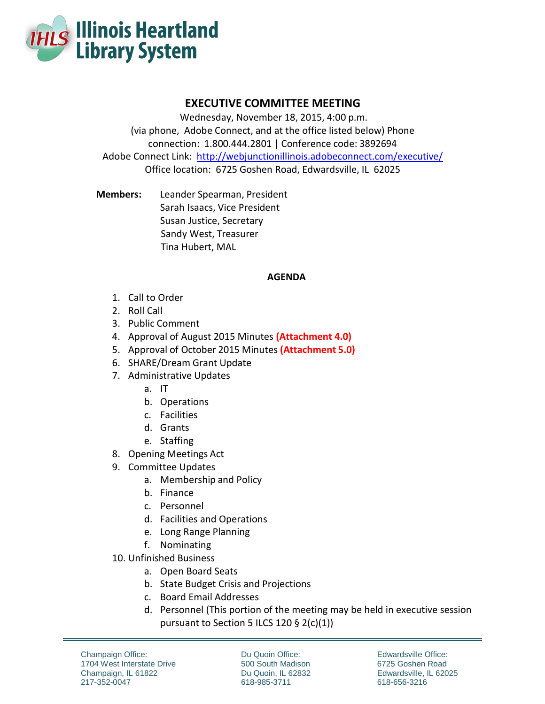

## **EXECUTIVE COMMITTEE MEETING**

Wednesday, November 18, 2015, 4:00 p.m. (via phone, Adobe Connect, and at the office listed below) Phone connection: 1.800.444.2801 | Conference code: 3892694 Adobe Connect Link: http://webjunctionillinois.adobeconnect.com/executive/ Office location: 6725 Goshen Road, Edwardsville, IL 62025

**Members:** Leander Spearman, President Sarah Isaacs, Vice President Susan Justice, Secretary Sandy West, Treasurer Tina Hubert, MAL

## **AGENDA**

- 1. Call to Order
- 2. Roll Call
- 3. Public Comment
- 4. Approval of August 2015 Minutes **(Attachment 4.0)**
- 5. Approval of October 2015 Minutes **(Attachment 5.0)**
- 6. SHARE/Dream Grant Update
- 7. Administrative Updates
	- a. IT
	- b. Operations
	- c. Facilities
	- d. Grants
	- e. Staffing
- 8. Opening Meetings Act
- 9. Committee Updates
	- a. Membership and Policy
	- b. Finance
	- c. Personnel
	- d. Facilities and Operations
	- e. Long Range Planning
	- f. Nominating
- 10. Unfinished Business
	- a. Open Board Seats
	- b. State Budget Crisis and Projections
	- c. Board Email Addresses
	- d. Personnel (This portion of the meeting may be held in executive session pursuant to Section 5 ILCS 120 § 2(c)(1))

Du Quoin Office: 500 South Madison Du Quoin, IL 62832 618-985-3711